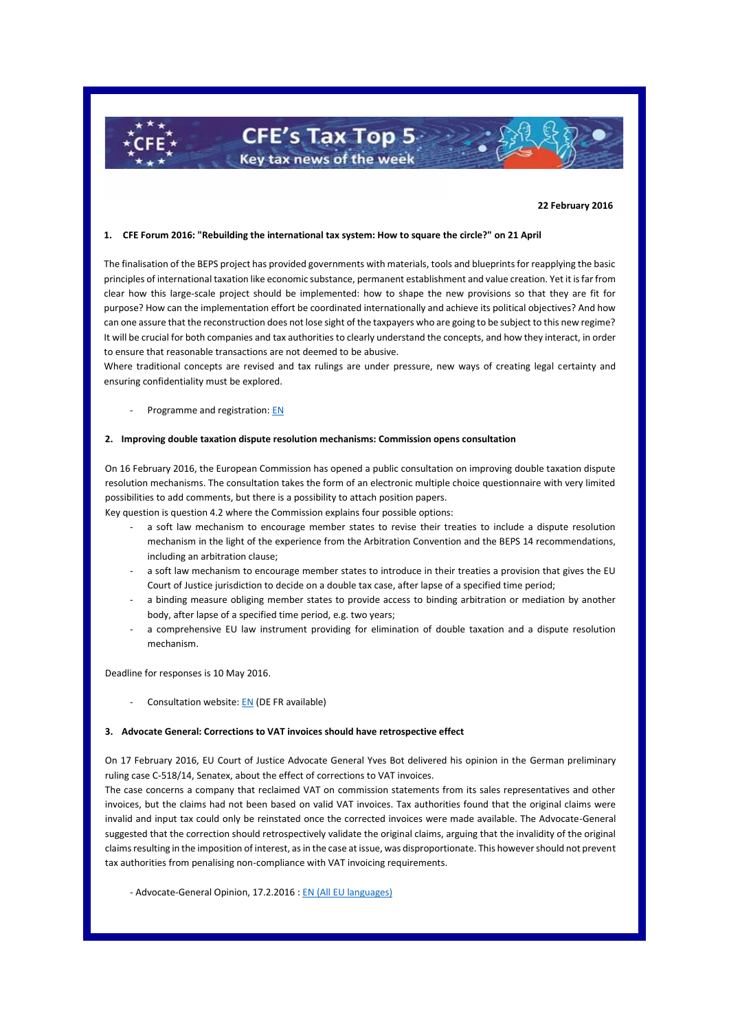**22 February 2016**

# **1. CFE Forum 2016: "Rebuilding the international tax system: How to square the circle?" on 21 April**

**CFE's Tax Top 5** Key tax news of the week

The finalisation of the BEPS project has provided governments with materials, tools and blueprints for reapplying the basic principles of international taxation like economic substance, permanent establishment and value creation. Yet it is far from clear how this large-scale project should be implemented: how to shape the new provisions so that they are fit for purpose? How can the implementation effort be coordinated internationally and achieve its political objectives? And how can one assure that the reconstruction does not lose sight of the taxpayers who are going to be subject to this new regime? It will be crucial for both companies and tax authorities to clearly understand the concepts, and how they interact, in order to ensure that reasonable transactions are not deemed to be abusive.

Where traditional concepts are revised and tax rulings are under pressure, new ways of creating legal certainty and ensuring confidentiality must be explored.

### Programme and registration[: EN](http://www.cfe-eutax.org/node/5123)

### **2. Improving double taxation dispute resolution mechanisms: Commission opens consultation**

On 16 February 2016, the European Commission has opened a public consultation on improving double taxation dispute resolution mechanisms. The consultation takes the form of an electronic multiple choice questionnaire with very limited possibilities to add comments, but there is a possibility to attach position papers.

Key question is question 4.2 where the Commission explains four possible options:

- a soft law mechanism to encourage member states to revise their treaties to include a dispute resolution mechanism in the light of the experience from the Arbitration Convention and the BEPS 14 recommendations, including an arbitration clause;
- a soft law mechanism to encourage member states to introduce in their treaties a provision that gives the EU Court of Justice jurisdiction to decide on a double tax case, after lapse of a specified time period;
- a binding measure obliging member states to provide access to binding arbitration or mediation by another body, after lapse of a specified time period, e.g. two years;
- a comprehensive EU law instrument providing for elimination of double taxation and a dispute resolution mechanism.

Deadline for responses is 10 May 2016.

Consultation website[: EN](http://ec.europa.eu/taxation_customs/common/consultations/tax/double_tax_dispute_en.htm) (DE FR available)

## **3. Advocate General: Corrections to VAT invoices should have retrospective effect**

On 17 February 2016, EU Court of Justice Advocate General Yves Bot delivered his opinion in the German preliminary ruling case C-518/14, Senatex, about the effect of corrections to VAT invoices.

The case concerns a company that reclaimed VAT on commission statements from its sales representatives and other invoices, but the claims had not been based on valid VAT invoices. Tax authorities found that the original claims were invalid and input tax could only be reinstated once the corrected invoices were made available. The Advocate-General suggested that the correction should retrospectively validate the original claims, arguing that the invalidity of the original claims resulting in the imposition of interest, as in the case at issue, was disproportionate. This however should not prevent tax authorities from penalising non-compliance with VAT invoicing requirements.

- Advocate-General Opinion, 17.2.2016 [: EN](http://curia.europa.eu/juris/document/document.jsf?text=&docid=174422&pageIndex=0&doclang=en&mode=lst&dir=&occ=first&part=1&cid=841336) (All EU languages)